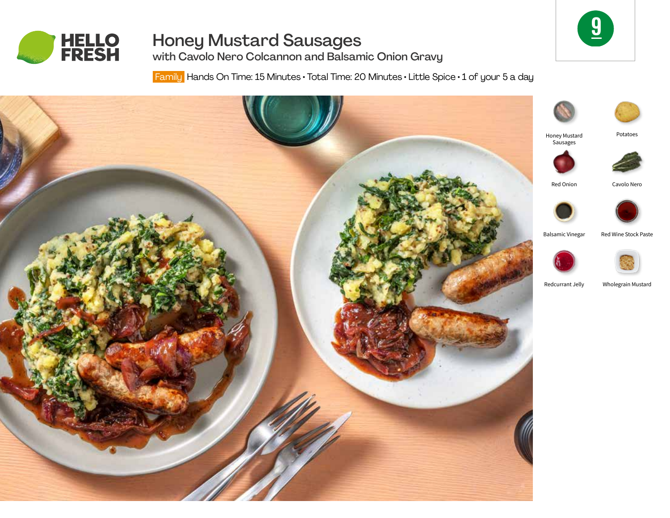

# Honey Mustard Sausages



with Cavolo Nero Colcannon and Balsamic Onion Gravy

Family Hands On Time: 15 Minutes • Total Time: 20 Minutes • Little Spice • 1 of your 5 a day